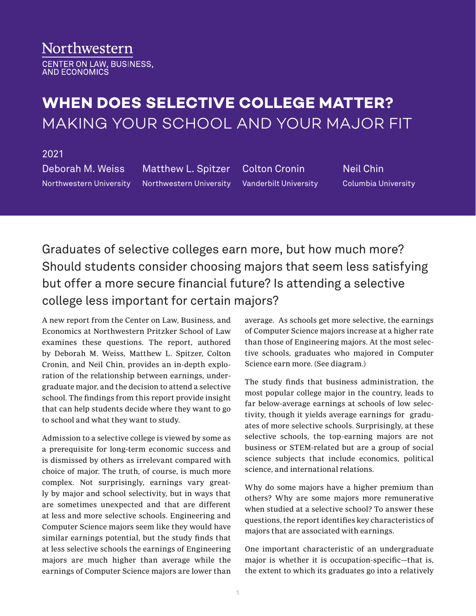## Northwestern

CENTER ON LAW, BUSINESS,<br>AND ECONOMICS

## **WHEN DOES SELECTIVE COLLEGE MATTER?**  MAKING YOUR SCHOOL AND YOUR MAJOR FIT

## 2021

Deborah M. Weiss Northwestern University Matthew L. Spitzer Northwestern University

Colton Cronin Vanderbilt University

Neil Chin Columbia University

Graduates of selective colleges earn more, but how much more? Should students consider choosing majors that seem less satisfying but offer a more secure financial future? Is attending a selective college less important for certain majors?

A new report from the Center on Law, Business, and Economics at Northwestern Pritzker School of Law examines these questions. The report, authored by Deborah M. Weiss, Matthew L. Spitzer, Colton Cronin, and Neil Chin, provides an in-depth exploration of the relationship between earnings, undergraduate major, and the decision to attend a selective school. The findings from this report provide insight that can help students decide where they want to go to school and what they want to study.

Admission to a selective college is viewed by some as a prerequisite for long-term economic success and is dismissed by others as irrelevant compared with choice of major. The truth, of course, is much more complex. Not surprisingly, earnings vary greatly by major and school selectivity, but in ways that are sometimes unexpected and that are different at less and more selective schools. Engineering and Computer Science majors seem like they would have similar earnings potential, but the study finds that at less selective schools the earnings of Engineering majors are much higher than average while the earnings of Computer Science majors are lower than

average. As schools get more selective, the earnings of Computer Science majors increase at a higher rate than those of Engineering majors. At the most selective schools, graduates who majored in Computer Science earn more. (See diagram.)

The study finds that business administration, the most popular college major in the country, leads to far below-average earnings at schools of low selectivity, though it yields average earnings for graduates of more selective schools. Surprisingly, at these selective schools, the top-earning majors are not business or STEM-related but are a group of social science subjects that include economics, political science, and international relations.

Why do some majors have a higher premium than others? Why are some majors more remunerative when studied at a selective school? To answer these questions, the report identifies key characteristics of majors that are associated with earnings.

One important characteristic of an undergraduate major is whether it is occupation-specific—that is, the extent to which its graduates go into a relatively